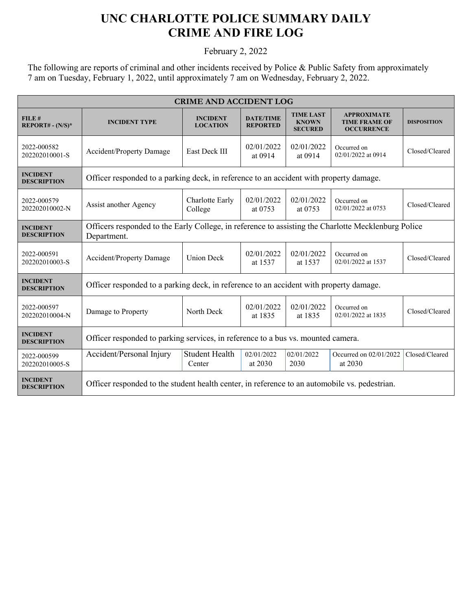## **UNC CHARLOTTE POLICE SUMMARY DAILY CRIME AND FIRE LOG**

February 2, 2022

The following are reports of criminal and other incidents received by Police & Public Safety from approximately 7 am on Tuesday, February 1, 2022, until approximately 7 am on Wednesday, February 2, 2022.

| <b>CRIME AND ACCIDENT LOG</b>         |                                                                                                                    |                                    |                                                |                                                    |                                                                 |                    |  |
|---------------------------------------|--------------------------------------------------------------------------------------------------------------------|------------------------------------|------------------------------------------------|----------------------------------------------------|-----------------------------------------------------------------|--------------------|--|
| FILE#<br>$REPORT# - (N/S)*$           | <b>INCIDENT TYPE</b>                                                                                               | <b>INCIDENT</b><br><b>LOCATION</b> | <b>DATE/TIME</b><br><b>REPORTED</b>            | <b>TIME LAST</b><br><b>KNOWN</b><br><b>SECURED</b> | <b>APPROXIMATE</b><br><b>TIME FRAME OF</b><br><b>OCCURRENCE</b> | <b>DISPOSITION</b> |  |
| 2022-000582<br>202202010001-S         | <b>Accident/Property Damage</b>                                                                                    | <b>East Deck III</b>               | 02/01/2022<br>02/01/2022<br>at 0914<br>at 0914 |                                                    | Occurred on<br>02/01/2022 at 0914                               | Closed/Cleared     |  |
| <b>INCIDENT</b><br><b>DESCRIPTION</b> | Officer responded to a parking deck, in reference to an accident with property damage.                             |                                    |                                                |                                                    |                                                                 |                    |  |
| 2022-000579<br>202202010002-N         | Charlotte Early<br>Assist another Agency<br>College                                                                |                                    | 02/01/2022<br>at 0753                          | 02/01/2022<br>at 0753                              | Occurred on<br>02/01/2022 at 0753                               | Closed/Cleared     |  |
| <b>INCIDENT</b><br><b>DESCRIPTION</b> | Officers responded to the Early College, in reference to assisting the Charlotte Mecklenburg Police<br>Department. |                                    |                                                |                                                    |                                                                 |                    |  |
| 2022-000591<br>202202010003-S         | <b>Accident/Property Damage</b>                                                                                    | <b>Union Deck</b>                  | 02/01/2022<br>at 1537                          | 02/01/2022<br>at 1537                              | Occurred on<br>02/01/2022 at 1537                               | Closed/Cleared     |  |
| <b>INCIDENT</b><br><b>DESCRIPTION</b> | Officer responded to a parking deck, in reference to an accident with property damage.                             |                                    |                                                |                                                    |                                                                 |                    |  |
| 2022-000597<br>202202010004-N         | Damage to Property                                                                                                 | North Deck                         | 02/01/2022<br>at 1835                          | 02/01/2022<br>at 1835                              | Occurred on<br>02/01/2022 at 1835                               | Closed/Cleared     |  |
| <b>INCIDENT</b><br><b>DESCRIPTION</b> | Officer responded to parking services, in reference to a bus vs. mounted camera.                                   |                                    |                                                |                                                    |                                                                 |                    |  |
| 2022-000599<br>202202010005-S         | Accident/Personal Injury                                                                                           | <b>Student Health</b><br>Center    | 02/01/2022<br>at 2030                          | 02/01/2022<br>2030                                 | Occurred on 02/01/2022<br>at 2030                               | Closed/Cleared     |  |
| <b>INCIDENT</b><br><b>DESCRIPTION</b> | Officer responded to the student health center, in reference to an automobile vs. pedestrian.                      |                                    |                                                |                                                    |                                                                 |                    |  |